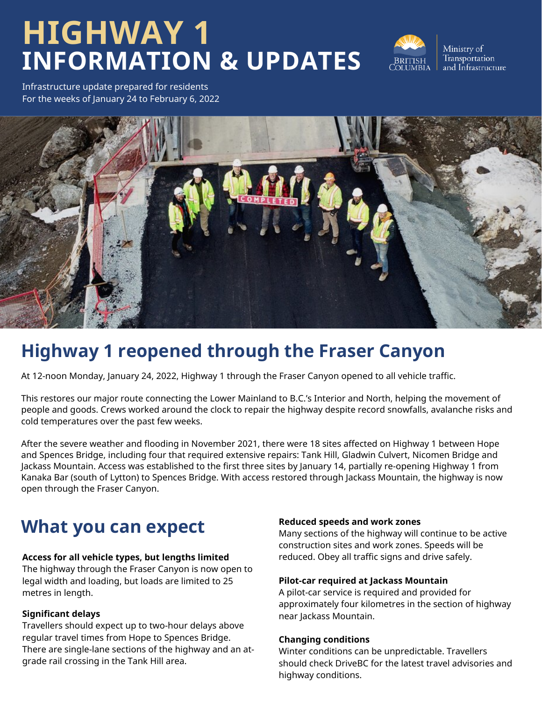# **HIGHWAY 1 INFORMATION & UPDATES**



Ministry of Transportation and Infrastructure

Infrastructure update prepared for residents For the weeks of January 24 to February 6, 2022



# **Highway 1 reopened through the Fraser Canyon**

At 12-noon Monday, January 24, 2022, Highway 1 through the Fraser Canyon opened to all vehicle traffic.

This restores our major route connecting the Lower Mainland to B.C.'s Interior and North, helping the movement of people and goods. Crews worked around the clock to repair the highway despite record snowfalls, avalanche risks and cold temperatures over the past few weeks.

After the severe weather and flooding in November 2021, there were 18 sites affected on Highway 1 between Hope and Spences Bridge, including four that required extensive repairs: Tank Hill, Gladwin Culvert, Nicomen Bridge and Jackass Mountain. Access was established to the first three sites by January 14, partially re-opening Highway 1 from Kanaka Bar (south of Lytton) to Spences Bridge. With access restored through Jackass Mountain, the highway is now open through the Fraser Canyon.

# **What you can expect**

### **Access for all vehicle types, but lengths limited**

The highway through the Fraser Canyon is now open to legal width and loading, but loads are limited to 25 metres in length.

### **Significant delays**

Travellers should expect up to two-hour delays above regular travel times from Hope to Spences Bridge. There are single-lane sections of the highway and an atgrade rail crossing in the Tank Hill area.

### **Reduced speeds and work zones**

Many sections of the highway will continue to be active construction sites and work zones. Speeds will be reduced. Obey all traffic signs and drive safely.

### **Pilot-car required at Jackass Mountain**

A pilot-car service is required and provided for approximately four kilometres in the section of highway near Jackass Mountain.

### **Changing conditions**

Winter conditions can be unpredictable. Travellers should check DriveBC for the latest travel advisories and highway conditions.